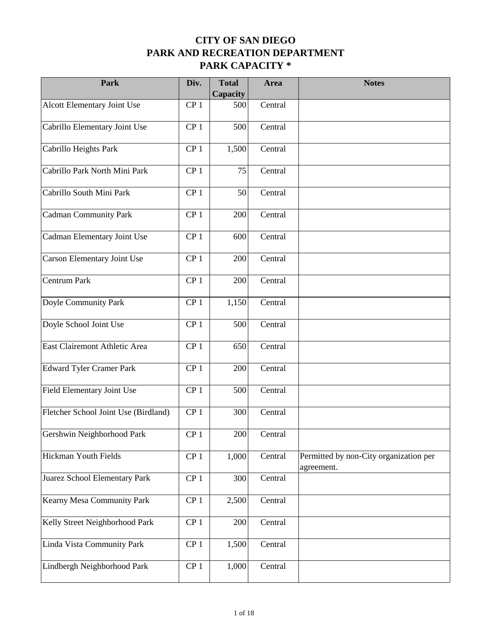| Park                                 | Div.            | <b>Total</b><br>Capacity | Area    | <b>Notes</b>                                         |
|--------------------------------------|-----------------|--------------------------|---------|------------------------------------------------------|
| Alcott Elementary Joint Use          | CP <sub>1</sub> | 500                      | Central |                                                      |
| Cabrillo Elementary Joint Use        | CP <sub>1</sub> | 500                      | Central |                                                      |
| Cabrillo Heights Park                | CP <sub>1</sub> | 1,500                    | Central |                                                      |
| Cabrillo Park North Mini Park        | CP <sub>1</sub> | 75                       | Central |                                                      |
| Cabrillo South Mini Park             | CP <sub>1</sub> | 50                       | Central |                                                      |
| Cadman Community Park                | CP <sub>1</sub> | 200                      | Central |                                                      |
| Cadman Elementary Joint Use          | CP <sub>1</sub> | 600                      | Central |                                                      |
| Carson Elementary Joint Use          | CP <sub>1</sub> | 200                      | Central |                                                      |
| Centrum Park                         | CP <sub>1</sub> | 200                      | Central |                                                      |
| Doyle Community Park                 | CP <sub>1</sub> | 1,150                    | Central |                                                      |
| Doyle School Joint Use               | CP <sub>1</sub> | 500                      | Central |                                                      |
| East Clairemont Athletic Area        | CP <sub>1</sub> | 650                      | Central |                                                      |
| <b>Edward Tyler Cramer Park</b>      | CP <sub>1</sub> | 200                      | Central |                                                      |
| Field Elementary Joint Use           | CP <sub>1</sub> | 500                      | Central |                                                      |
| Fletcher School Joint Use (Birdland) | CP <sub>1</sub> | 300                      | Central |                                                      |
| Gershwin Neighborhood Park           | CP <sub>1</sub> | 200                      | Central |                                                      |
| Hickman Youth Fields                 | CP <sub>1</sub> | 1,000                    | Central | Permitted by non-City organization per<br>agreement. |
| Juarez School Elementary Park        | CP <sub>1</sub> | 300                      | Central |                                                      |
| <b>Kearny Mesa Community Park</b>    | CP <sub>1</sub> | 2,500                    | Central |                                                      |
| Kelly Street Neighborhood Park       | CP <sub>1</sub> | 200                      | Central |                                                      |
| Linda Vista Community Park           | CP <sub>1</sub> | 1,500                    | Central |                                                      |
| Lindbergh Neighborhood Park          | CP <sub>1</sub> | 1,000                    | Central |                                                      |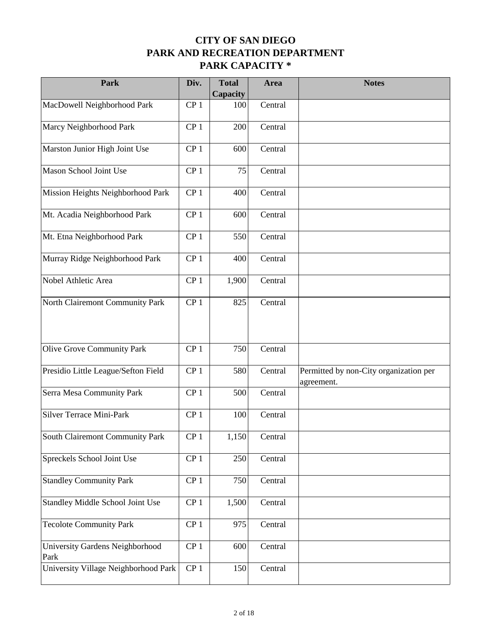| Park                                    | Div.            | <b>Total</b><br>Capacity | Area    | <b>Notes</b>                                         |
|-----------------------------------------|-----------------|--------------------------|---------|------------------------------------------------------|
| MacDowell Neighborhood Park             | CP <sub>1</sub> | 100                      | Central |                                                      |
| Marcy Neighborhood Park                 | CP <sub>1</sub> | 200                      | Central |                                                      |
| Marston Junior High Joint Use           | CP <sub>1</sub> | 600                      | Central |                                                      |
| Mason School Joint Use                  | CP <sub>1</sub> | 75                       | Central |                                                      |
| Mission Heights Neighborhood Park       | CP <sub>1</sub> | 400                      | Central |                                                      |
| Mt. Acadia Neighborhood Park            | CP <sub>1</sub> | 600                      | Central |                                                      |
| Mt. Etna Neighborhood Park              | CP <sub>1</sub> | 550                      | Central |                                                      |
| Murray Ridge Neighborhood Park          | CP <sub>1</sub> | 400                      | Central |                                                      |
| Nobel Athletic Area                     | CP <sub>1</sub> | 1,900                    | Central |                                                      |
| North Clairemont Community Park         | CP <sub>1</sub> | 825                      | Central |                                                      |
|                                         |                 |                          |         |                                                      |
| Olive Grove Community Park              | CP <sub>1</sub> | 750                      | Central |                                                      |
| Presidio Little League/Sefton Field     | CP <sub>1</sub> | 580                      | Central | Permitted by non-City organization per<br>agreement. |
| Serra Mesa Community Park               | CP <sub>1</sub> | 500                      | Central |                                                      |
| <b>Silver Terrace Mini-Park</b>         | CP <sub>1</sub> | 100                      | Central |                                                      |
| South Clairemont Community Park         | CP <sub>1</sub> | 1,150                    | Central |                                                      |
| Spreckels School Joint Use              | CP <sub>1</sub> | 250                      | Central |                                                      |
| <b>Standley Community Park</b>          | CP <sub>1</sub> | 750                      | Central |                                                      |
| Standley Middle School Joint Use        | CP <sub>1</sub> | 1,500                    | Central |                                                      |
| <b>Tecolote Community Park</b>          | CP <sub>1</sub> | 975                      | Central |                                                      |
| University Gardens Neighborhood<br>Park | CP <sub>1</sub> | 600                      | Central |                                                      |
| University Village Neighborhood Park    | CP <sub>1</sub> | 150                      | Central |                                                      |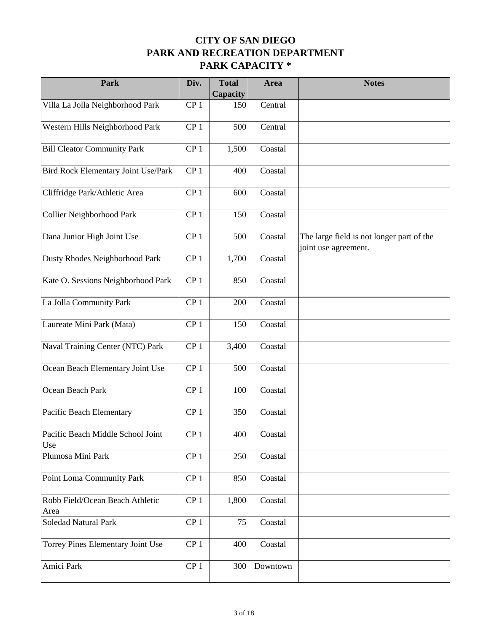| Park                                     | Div.            | <b>Total</b><br>Capacity | Area     | <b>Notes</b>                                                      |
|------------------------------------------|-----------------|--------------------------|----------|-------------------------------------------------------------------|
| Villa La Jolla Neighborhood Park         | CP <sub>1</sub> | 150                      | Central  |                                                                   |
| Western Hills Neighborhood Park          | CP <sub>1</sub> | 500                      | Central  |                                                                   |
| <b>Bill Cleator Community Park</b>       | CP <sub>1</sub> | 1,500                    | Coastal  |                                                                   |
| Bird Rock Elementary Joint Use/Park      | CP <sub>1</sub> | 400                      | Coastal  |                                                                   |
| Cliffridge Park/Athletic Area            | CP <sub>1</sub> | 600                      | Coastal  |                                                                   |
| Collier Neighborhood Park                | CP <sub>1</sub> | 150                      | Coastal  |                                                                   |
| Dana Junior High Joint Use               | CP <sub>1</sub> | 500                      | Coastal  | The large field is not longer part of the<br>joint use agreement. |
| Dusty Rhodes Neighborhood Park           | CP <sub>1</sub> | 1,700                    | Coastal  |                                                                   |
| Kate O. Sessions Neighborhood Park       | CP <sub>1</sub> | 850                      | Coastal  |                                                                   |
| La Jolla Community Park                  | CP <sub>1</sub> | 200                      | Coastal  |                                                                   |
| Laureate Mini Park (Mata)                | CP <sub>1</sub> | 150                      | Coastal  |                                                                   |
| Naval Training Center (NTC) Park         | CP <sub>1</sub> | 3,400                    | Coastal  |                                                                   |
| Ocean Beach Elementary Joint Use         | CP <sub>1</sub> | 500                      | Coastal  |                                                                   |
| Ocean Beach Park                         | CP <sub>1</sub> | 100                      | Coastal  |                                                                   |
| Pacific Beach Elementary                 | CP <sub>1</sub> | 350                      | Coastal  |                                                                   |
| Pacific Beach Middle School Joint<br>Use | CP <sub>1</sub> | 400                      | Coastal  |                                                                   |
| Plumosa Mini Park                        | CP <sub>1</sub> | 250                      | Coastal  |                                                                   |
| Point Loma Community Park                | CP <sub>1</sub> | 850                      | Coastal  |                                                                   |
| Robb Field/Ocean Beach Athletic<br>Area  | CP <sub>1</sub> | 1,800                    | Coastal  |                                                                   |
| <b>Soledad Natural Park</b>              | CP <sub>1</sub> | 75                       | Coastal  |                                                                   |
| Torrey Pines Elementary Joint Use        | CP <sub>1</sub> | 400                      | Coastal  |                                                                   |
| Amici Park                               | CP <sub>1</sub> | 300                      | Downtown |                                                                   |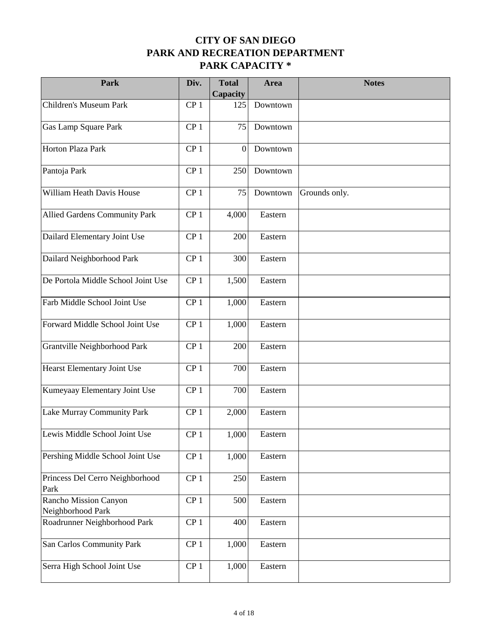| Park                                       | Div.            | <b>Total</b><br>Capacity | Area     | <b>Notes</b>  |
|--------------------------------------------|-----------------|--------------------------|----------|---------------|
| Children's Museum Park                     | CP <sub>1</sub> | 125                      | Downtown |               |
| Gas Lamp Square Park                       | CP <sub>1</sub> | 75                       | Downtown |               |
| Horton Plaza Park                          | CP <sub>1</sub> | $\boldsymbol{0}$         | Downtown |               |
| Pantoja Park                               | CP <sub>1</sub> | 250                      | Downtown |               |
| William Heath Davis House                  | CP <sub>1</sub> | 75                       | Downtown | Grounds only. |
| Allied Gardens Community Park              | CP <sub>1</sub> | 4,000                    | Eastern  |               |
| Dailard Elementary Joint Use               | CP <sub>1</sub> | 200                      | Eastern  |               |
| Dailard Neighborhood Park                  | CP <sub>1</sub> | 300                      | Eastern  |               |
| De Portola Middle School Joint Use         | CP <sub>1</sub> | 1,500                    | Eastern  |               |
| Farb Middle School Joint Use               | CP <sub>1</sub> | 1,000                    | Eastern  |               |
| Forward Middle School Joint Use            | CP <sub>1</sub> | 1,000                    | Eastern  |               |
| Grantville Neighborhood Park               | CP <sub>1</sub> | 200                      | Eastern  |               |
| Hearst Elementary Joint Use                | CP <sub>1</sub> | 700                      | Eastern  |               |
| Kumeyaay Elementary Joint Use              | CP <sub>1</sub> | 700                      | Eastern  |               |
| Lake Murray Community Park                 | CP <sub>1</sub> | 2,000                    | Eastern  |               |
| Lewis Middle School Joint Use              | CP <sub>1</sub> | 1,000                    | Eastern  |               |
| Pershing Middle School Joint Use           | CP <sub>1</sub> | 1,000                    | Eastern  |               |
| Princess Del Cerro Neighborhood<br>Park    | CP <sub>1</sub> | 250                      | Eastern  |               |
| Rancho Mission Canyon<br>Neighborhood Park | CP <sub>1</sub> | 500                      | Eastern  |               |
| Roadrunner Neighborhood Park               | CP <sub>1</sub> | 400                      | Eastern  |               |
| San Carlos Community Park                  | CP <sub>1</sub> | 1,000                    | Eastern  |               |
| Serra High School Joint Use                | CP <sub>1</sub> | 1,000                    | Eastern  |               |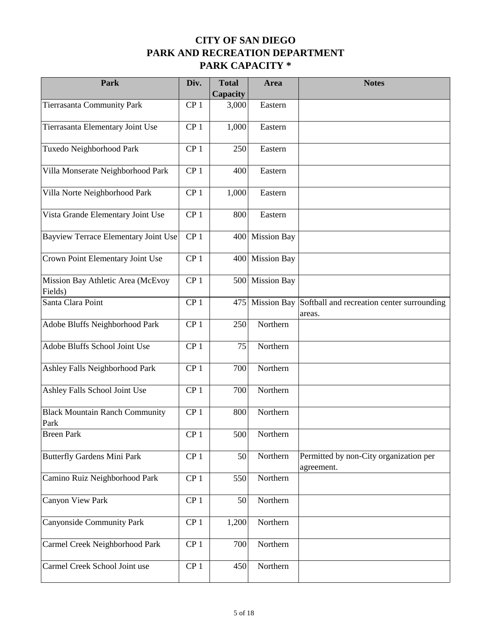| Park                                          | Div.            | <b>Total</b><br>Capacity | Area               | <b>Notes</b>                                         |
|-----------------------------------------------|-----------------|--------------------------|--------------------|------------------------------------------------------|
| Tierrasanta Community Park                    | CP <sub>1</sub> | 3,000                    | Eastern            |                                                      |
| Tierrasanta Elementary Joint Use              | CP <sub>1</sub> | 1,000                    | Eastern            |                                                      |
| Tuxedo Neighborhood Park                      | CP <sub>1</sub> | 250                      | Eastern            |                                                      |
| Villa Monserate Neighborhood Park             | CP <sub>1</sub> | 400                      | Eastern            |                                                      |
| Villa Norte Neighborhood Park                 | CP <sub>1</sub> | 1,000                    | Eastern            |                                                      |
| Vista Grande Elementary Joint Use             | CP <sub>1</sub> | 800                      | Eastern            |                                                      |
| Bayview Terrace Elementary Joint Use          | CP <sub>1</sub> | 400                      | <b>Mission Bay</b> |                                                      |
| Crown Point Elementary Joint Use              | CP <sub>1</sub> | 400                      | <b>Mission Bay</b> |                                                      |
| Mission Bay Athletic Area (McEvoy<br>Fields)  | CP <sub>1</sub> | 500                      | <b>Mission Bay</b> |                                                      |
| Santa Clara Point                             | CP <sub>1</sub> | 475                      | <b>Mission Bay</b> | Softball and recreation center surrounding<br>areas. |
| Adobe Bluffs Neighborhood Park                | CP <sub>1</sub> | 250                      | Northern           |                                                      |
| Adobe Bluffs School Joint Use                 | CP <sub>1</sub> | 75                       | Northern           |                                                      |
| Ashley Falls Neighborhood Park                | CP <sub>1</sub> | 700                      | Northern           |                                                      |
| Ashley Falls School Joint Use                 | CP <sub>1</sub> | 700                      | Northern           |                                                      |
| <b>Black Mountain Ranch Community</b><br>Park | CP <sub>1</sub> | 800                      | Northern           |                                                      |
| <b>Breen Park</b>                             | CP <sub>1</sub> | 500                      | Northern           |                                                      |
| <b>Butterfly Gardens Mini Park</b>            | CP <sub>1</sub> | 50                       | Northern           | Permitted by non-City organization per<br>agreement. |
| Camino Ruiz Neighborhood Park                 | CP <sub>1</sub> | 550                      | Northern           |                                                      |
| Canyon View Park                              | CP <sub>1</sub> | 50                       | Northern           |                                                      |
| Canyonside Community Park                     | CP <sub>1</sub> | 1,200                    | Northern           |                                                      |
| Carmel Creek Neighborhood Park                | CP <sub>1</sub> | 700                      | Northern           |                                                      |
| Carmel Creek School Joint use                 | CP <sub>1</sub> | 450                      | Northern           |                                                      |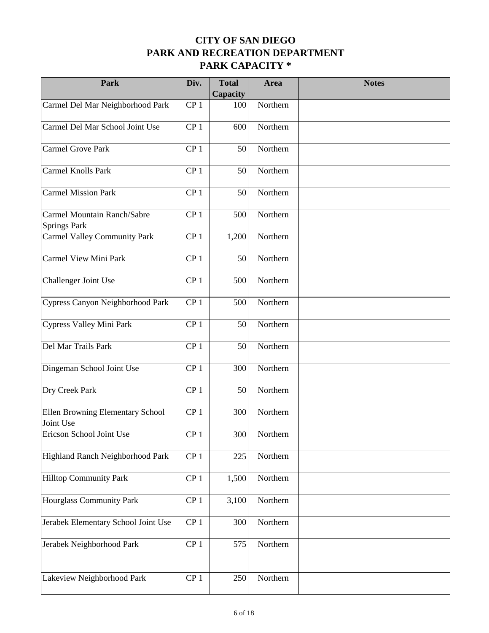| Park                                          | Div.            | <b>Total</b><br>Capacity | Area     | <b>Notes</b> |
|-----------------------------------------------|-----------------|--------------------------|----------|--------------|
| Carmel Del Mar Neighborhood Park              | CP <sub>1</sub> | 100                      | Northern |              |
| Carmel Del Mar School Joint Use               | CP <sub>1</sub> | 600                      | Northern |              |
| Carmel Grove Park                             | CP <sub>1</sub> | 50                       | Northern |              |
| Carmel Knolls Park                            | CP <sub>1</sub> | 50                       | Northern |              |
| Carmel Mission Park                           | CP <sub>1</sub> | 50                       | Northern |              |
| Carmel Mountain Ranch/Sabre<br>Springs Park   | CP <sub>1</sub> | 500                      | Northern |              |
| Carmel Valley Community Park                  | CP <sub>1</sub> | 1,200                    | Northern |              |
| Carmel View Mini Park                         | CP <sub>1</sub> | 50                       | Northern |              |
| Challenger Joint Use                          | CP <sub>1</sub> | 500                      | Northern |              |
| Cypress Canyon Neighborhood Park              | CP <sub>1</sub> | 500                      | Northern |              |
| Cypress Valley Mini Park                      | CP <sub>1</sub> | 50                       | Northern |              |
| Del Mar Trails Park                           | CP <sub>1</sub> | 50                       | Northern |              |
| Dingeman School Joint Use                     | CP <sub>1</sub> | 300                      | Northern |              |
| Dry Creek Park                                | CP <sub>1</sub> | 50                       | Northern |              |
| Ellen Browning Elementary School<br>Joint Use | CP <sub>1</sub> | 300                      | Northern |              |
| Ericson School Joint Use                      | CP <sub>1</sub> | 300                      | Northern |              |
| Highland Ranch Neighborhood Park              | CP <sub>1</sub> | 225                      | Northern |              |
| <b>Hilltop Community Park</b>                 | CP <sub>1</sub> | 1,500                    | Northern |              |
| <b>Hourglass Community Park</b>               | CP <sub>1</sub> | 3,100                    | Northern |              |
| Jerabek Elementary School Joint Use           | CP <sub>1</sub> | 300                      | Northern |              |
| Jerabek Neighborhood Park                     | CP <sub>1</sub> | 575                      | Northern |              |
| Lakeview Neighborhood Park                    | CP <sub>1</sub> | 250                      | Northern |              |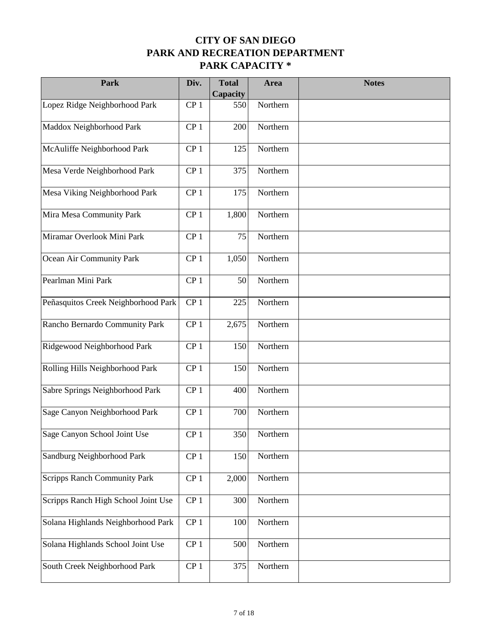| Park                                | Div.            | <b>Total</b><br>Capacity | Area     | <b>Notes</b> |
|-------------------------------------|-----------------|--------------------------|----------|--------------|
| Lopez Ridge Neighborhood Park       | CP <sub>1</sub> | 550                      | Northern |              |
| Maddox Neighborhood Park            | CP <sub>1</sub> | 200                      | Northern |              |
| McAuliffe Neighborhood Park         | CP <sub>1</sub> | 125                      | Northern |              |
| Mesa Verde Neighborhood Park        | CP <sub>1</sub> | 375                      | Northern |              |
| Mesa Viking Neighborhood Park       | CP <sub>1</sub> | 175                      | Northern |              |
| Mira Mesa Community Park            | CP <sub>1</sub> | 1,800                    | Northern |              |
| Miramar Overlook Mini Park          | CP <sub>1</sub> | 75                       | Northern |              |
| Ocean Air Community Park            | CP <sub>1</sub> | 1,050                    | Northern |              |
| Pearlman Mini Park                  | CP <sub>1</sub> | 50                       | Northern |              |
| Peñasquitos Creek Neighborhood Park | CP <sub>1</sub> | 225                      | Northern |              |
| Rancho Bernardo Community Park      | CP <sub>1</sub> | 2,675                    | Northern |              |
| Ridgewood Neighborhood Park         | CP <sub>1</sub> | 150                      | Northern |              |
| Rolling Hills Neighborhood Park     | CP <sub>1</sub> | 150                      | Northern |              |
| Sabre Springs Neighborhood Park     | CP <sub>1</sub> | 400                      | Northern |              |
| Sage Canyon Neighborhood Park       | CP <sub>1</sub> | 700                      | Northern |              |
| Sage Canyon School Joint Use        | CP <sub>1</sub> | 350                      | Northern |              |
| Sandburg Neighborhood Park          | CP <sub>1</sub> | 150                      | Northern |              |
| <b>Scripps Ranch Community Park</b> | CP <sub>1</sub> | 2,000                    | Northern |              |
| Scripps Ranch High School Joint Use | CP <sub>1</sub> | 300                      | Northern |              |
| Solana Highlands Neighborhood Park  | CP <sub>1</sub> | 100                      | Northern |              |
| Solana Highlands School Joint Use   | CP <sub>1</sub> | 500                      | Northern |              |
| South Creek Neighborhood Park       | CP <sub>1</sub> | 375                      | Northern |              |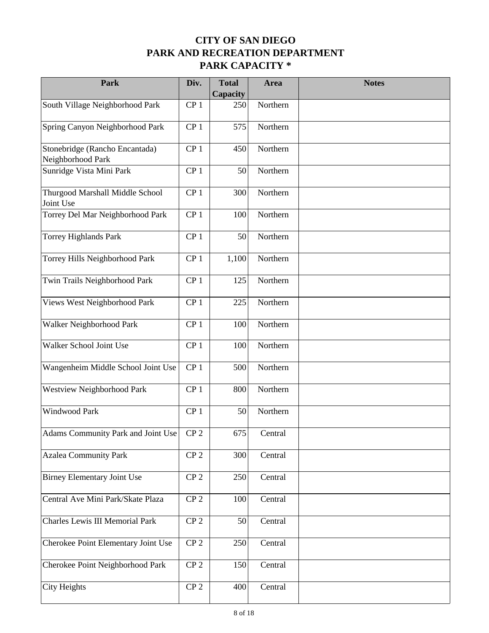| Park                                                | Div.            | <b>Total</b><br>Capacity | Area     | <b>Notes</b> |
|-----------------------------------------------------|-----------------|--------------------------|----------|--------------|
| South Village Neighborhood Park                     | CP <sub>1</sub> | 250                      | Northern |              |
| Spring Canyon Neighborhood Park                     | CP <sub>1</sub> | 575                      | Northern |              |
| Stonebridge (Rancho Encantada)<br>Neighborhood Park | CP <sub>1</sub> | 450                      | Northern |              |
| Sunridge Vista Mini Park                            | CP <sub>1</sub> | 50                       | Northern |              |
| Thurgood Marshall Middle School<br>Joint Use        | CP <sub>1</sub> | 300                      | Northern |              |
| Torrey Del Mar Neighborhood Park                    | CP <sub>1</sub> | 100                      | Northern |              |
| Torrey Highlands Park                               | CP <sub>1</sub> | 50                       | Northern |              |
| Torrey Hills Neighborhood Park                      | CP <sub>1</sub> | 1,100                    | Northern |              |
| Twin Trails Neighborhood Park                       | CP <sub>1</sub> | 125                      | Northern |              |
| Views West Neighborhood Park                        | CP <sub>1</sub> | 225                      | Northern |              |
| Walker Neighborhood Park                            | CP <sub>1</sub> | 100                      | Northern |              |
| Walker School Joint Use                             | CP <sub>1</sub> | 100                      | Northern |              |
| Wangenheim Middle School Joint Use                  | CP <sub>1</sub> | 500                      | Northern |              |
| Westview Neighborhood Park                          | CP <sub>1</sub> | 800                      | Northern |              |
| Windwood Park                                       | CP <sub>1</sub> | 50                       | Northern |              |
| Adams Community Park and Joint Use                  | CP <sub>2</sub> | 675                      | Central  |              |
| <b>Azalea Community Park</b>                        | CP <sub>2</sub> | 300                      | Central  |              |
| <b>Birney Elementary Joint Use</b>                  | CP <sub>2</sub> | 250                      | Central  |              |
| Central Ave Mini Park/Skate Plaza                   | CP <sub>2</sub> | 100                      | Central  |              |
| Charles Lewis III Memorial Park                     | CP <sub>2</sub> | 50                       | Central  |              |
| Cherokee Point Elementary Joint Use                 | CP <sub>2</sub> | 250                      | Central  |              |
| Cherokee Point Neighborhood Park                    | CP <sub>2</sub> | 150                      | Central  |              |
| City Heights                                        | CP <sub>2</sub> | 400                      | Central  |              |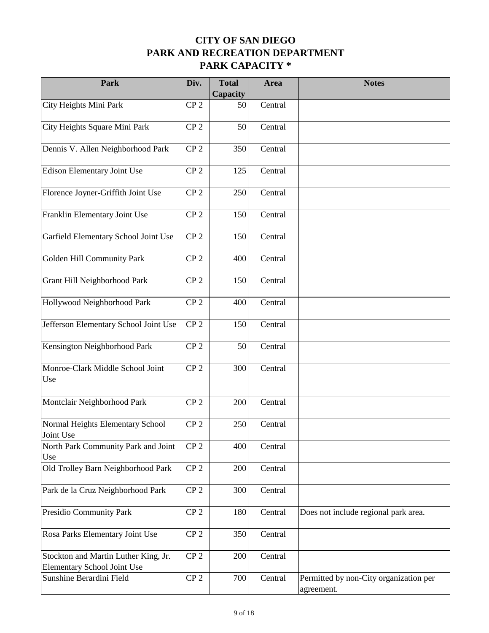| Park                                                                | Div.            | <b>Total</b><br>Capacity | Area    | <b>Notes</b>                                         |
|---------------------------------------------------------------------|-----------------|--------------------------|---------|------------------------------------------------------|
| City Heights Mini Park                                              | CP <sub>2</sub> | 50                       | Central |                                                      |
| City Heights Square Mini Park                                       | CP <sub>2</sub> | 50                       | Central |                                                      |
| Dennis V. Allen Neighborhood Park                                   | CP <sub>2</sub> | 350                      | Central |                                                      |
| Edison Elementary Joint Use                                         | CP <sub>2</sub> | 125                      | Central |                                                      |
| Florence Joyner-Griffith Joint Use                                  | CP <sub>2</sub> | 250                      | Central |                                                      |
| Franklin Elementary Joint Use                                       | CP <sub>2</sub> | 150                      | Central |                                                      |
| Garfield Elementary School Joint Use                                | CP <sub>2</sub> | 150                      | Central |                                                      |
| Golden Hill Community Park                                          | CP <sub>2</sub> | 400                      | Central |                                                      |
| Grant Hill Neighborhood Park                                        | CP <sub>2</sub> | 150                      | Central |                                                      |
| Hollywood Neighborhood Park                                         | CP <sub>2</sub> | 400                      | Central |                                                      |
| Jefferson Elementary School Joint Use                               | CP <sub>2</sub> | 150                      | Central |                                                      |
| Kensington Neighborhood Park                                        | CP <sub>2</sub> | 50                       | Central |                                                      |
| Monroe-Clark Middle School Joint<br>Use                             | CP <sub>2</sub> | 300                      | Central |                                                      |
| Montclair Neighborhood Park                                         | CP <sub>2</sub> | 200                      | Central |                                                      |
| Normal Heights Elementary School<br>Joint Use                       | CP <sub>2</sub> | 250                      | Central |                                                      |
| North Park Community Park and Joint<br>Use                          | CP <sub>2</sub> | 400                      | Central |                                                      |
| Old Trolley Barn Neighborhood Park                                  | CP <sub>2</sub> | 200                      | Central |                                                      |
| Park de la Cruz Neighborhood Park                                   | CP <sub>2</sub> | 300                      | Central |                                                      |
| Presidio Community Park                                             | CP <sub>2</sub> | 180                      | Central | Does not include regional park area.                 |
| Rosa Parks Elementary Joint Use                                     | CP <sub>2</sub> | 350                      | Central |                                                      |
| Stockton and Martin Luther King, Jr.<br>Elementary School Joint Use | CP <sub>2</sub> | 200                      | Central |                                                      |
| Sunshine Berardini Field                                            | CP <sub>2</sub> | 700                      | Central | Permitted by non-City organization per<br>agreement. |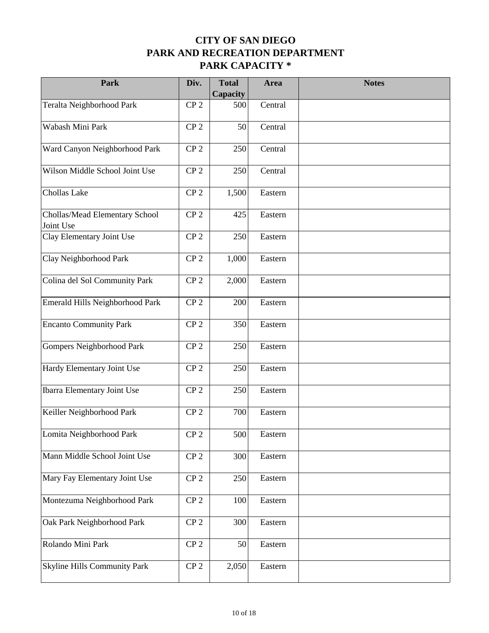| Park                                        | Div.            | <b>Total</b><br>Capacity | Area    | <b>Notes</b> |
|---------------------------------------------|-----------------|--------------------------|---------|--------------|
| Teralta Neighborhood Park                   | CP <sub>2</sub> | 500                      | Central |              |
| Wabash Mini Park                            | CP <sub>2</sub> | 50                       | Central |              |
| Ward Canyon Neighborhood Park               | CP <sub>2</sub> | 250                      | Central |              |
| Wilson Middle School Joint Use              | CP <sub>2</sub> | 250                      | Central |              |
| Chollas Lake                                | CP <sub>2</sub> | 1,500                    | Eastern |              |
| Chollas/Mead Elementary School<br>Joint Use | CP <sub>2</sub> | 425                      | Eastern |              |
| Clay Elementary Joint Use                   | CP <sub>2</sub> | 250                      | Eastern |              |
| Clay Neighborhood Park                      | CP <sub>2</sub> | 1,000                    | Eastern |              |
| Colina del Sol Community Park               | CP <sub>2</sub> | 2,000                    | Eastern |              |
| Emerald Hills Neighborhood Park             | CP <sub>2</sub> | 200                      | Eastern |              |
| <b>Encanto Community Park</b>               | CP <sub>2</sub> | 350                      | Eastern |              |
| Gompers Neighborhood Park                   | CP <sub>2</sub> | 250                      | Eastern |              |
| Hardy Elementary Joint Use                  | CP <sub>2</sub> | 250                      | Eastern |              |
| <b>Ibarra Elementary Joint Use</b>          | CP <sub>2</sub> | 250                      | Eastern |              |
| Keiller Neighborhood Park                   | CP <sub>2</sub> | 700                      | Eastern |              |
| Lomita Neighborhood Park                    | CP <sub>2</sub> | 500                      | Eastern |              |
| Mann Middle School Joint Use                | CP <sub>2</sub> | 300                      | Eastern |              |
| Mary Fay Elementary Joint Use               | CP <sub>2</sub> | 250                      | Eastern |              |
| Montezuma Neighborhood Park                 | CP <sub>2</sub> | 100                      | Eastern |              |
| Oak Park Neighborhood Park                  | CP <sub>2</sub> | 300                      | Eastern |              |
| Rolando Mini Park                           | CP <sub>2</sub> | 50                       | Eastern |              |
| Skyline Hills Community Park                | CP <sub>2</sub> | 2,050                    | Eastern |              |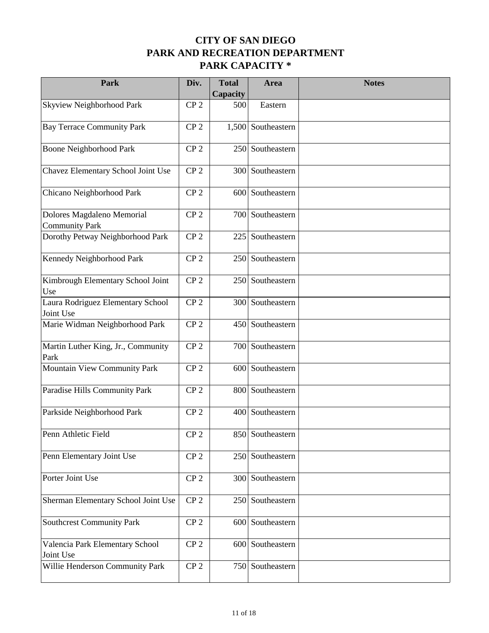| Park                                                | Div.            | <b>Total</b><br>Capacity | Area               | <b>Notes</b> |
|-----------------------------------------------------|-----------------|--------------------------|--------------------|--------------|
| Skyview Neighborhood Park                           | CP <sub>2</sub> | 500                      | Eastern            |              |
| <b>Bay Terrace Community Park</b>                   | CP <sub>2</sub> |                          | 1,500 Southeastern |              |
| <b>Boone Neighborhood Park</b>                      | CP <sub>2</sub> |                          | 250 Southeastern   |              |
| Chavez Elementary School Joint Use                  | CP <sub>2</sub> | 300                      | Southeastern       |              |
| Chicano Neighborhood Park                           | CP <sub>2</sub> |                          | 600 Southeastern   |              |
| Dolores Magdaleno Memorial<br><b>Community Park</b> | CP <sub>2</sub> |                          | 700 Southeastern   |              |
| Dorothy Petway Neighborhood Park                    | CP <sub>2</sub> | 225                      | Southeastern       |              |
| Kennedy Neighborhood Park                           | CP <sub>2</sub> |                          | 250 Southeastern   |              |
| Kimbrough Elementary School Joint<br>Use            | CP <sub>2</sub> | 250                      | Southeastern       |              |
| Laura Rodriguez Elementary School<br>Joint Use      | CP <sub>2</sub> | 300                      | Southeastern       |              |
| Marie Widman Neighborhood Park                      | CP <sub>2</sub> |                          | 450 Southeastern   |              |
| Martin Luther King, Jr., Community<br>Park          | CP <sub>2</sub> |                          | 700 Southeastern   |              |
| Mountain View Community Park                        | CP <sub>2</sub> | 600                      | Southeastern       |              |
| Paradise Hills Community Park                       | CP <sub>2</sub> | 800                      | Southeastern       |              |
| Parkside Neighborhood Park                          | CP <sub>2</sub> |                          | 400 Southeastern   |              |
| Penn Athletic Field                                 | CP <sub>2</sub> |                          | 850 Southeastern   |              |
| Penn Elementary Joint Use                           | CP <sub>2</sub> |                          | 250 Southeastern   |              |
| Porter Joint Use                                    | CP <sub>2</sub> |                          | 300 Southeastern   |              |
| Sherman Elementary School Joint Use                 | CP <sub>2</sub> |                          | 250 Southeastern   |              |
| Southcrest Community Park                           | ${\bf CP}$ 2    |                          | 600 Southeastern   |              |
| Valencia Park Elementary School<br>Joint Use        | CP <sub>2</sub> |                          | 600 Southeastern   |              |
| Willie Henderson Community Park                     | CP <sub>2</sub> |                          | 750 Southeastern   |              |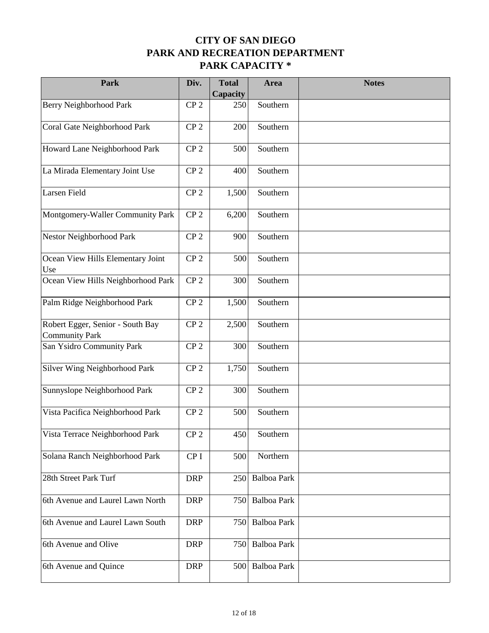| Park                                                      | Div.            | <b>Total</b><br>Capacity | Area               | <b>Notes</b> |
|-----------------------------------------------------------|-----------------|--------------------------|--------------------|--------------|
| Berry Neighborhood Park                                   | CP <sub>2</sub> | 250                      | Southern           |              |
| Coral Gate Neighborhood Park                              | CP <sub>2</sub> | 200                      | Southern           |              |
| Howard Lane Neighborhood Park                             | CP <sub>2</sub> | 500                      | Southern           |              |
| La Mirada Elementary Joint Use                            | CP <sub>2</sub> | 400                      | Southern           |              |
| Larsen Field                                              | CP <sub>2</sub> | 1,500                    | Southern           |              |
| Montgomery-Waller Community Park                          | CP <sub>2</sub> | 6,200                    | Southern           |              |
| Nestor Neighborhood Park                                  | CP <sub>2</sub> | 900                      | Southern           |              |
| Ocean View Hills Elementary Joint<br>Use                  | CP <sub>2</sub> | 500                      | Southern           |              |
| Ocean View Hills Neighborhood Park                        | CP <sub>2</sub> | 300                      | Southern           |              |
| Palm Ridge Neighborhood Park                              | CP <sub>2</sub> | 1,500                    | Southern           |              |
| Robert Egger, Senior - South Bay<br><b>Community Park</b> | CP <sub>2</sub> | 2,500                    | Southern           |              |
| San Ysidro Community Park                                 | CP <sub>2</sub> | 300                      | Southern           |              |
| Silver Wing Neighborhood Park                             | CP <sub>2</sub> | 1,750                    | Southern           |              |
| Sunnyslope Neighborhood Park                              | CP <sub>2</sub> | 300                      | Southern           |              |
| Vista Pacifica Neighborhood Park                          | CP <sub>2</sub> | 500                      | Southern           |              |
| Vista Terrace Neighborhood Park                           | CP <sub>2</sub> | 450                      | Southern           |              |
| Solana Ranch Neighborhood Park                            | CP <sub>I</sub> | 500                      | Northern           |              |
| 28th Street Park Turf                                     | <b>DRP</b>      | 250                      | Balboa Park        |              |
| 6th Avenue and Laurel Lawn North                          | <b>DRP</b>      | 750                      | Balboa Park        |              |
| 6th Avenue and Laurel Lawn South                          | <b>DRP</b>      | 750                      | <b>Balboa Park</b> |              |
| 6th Avenue and Olive                                      | <b>DRP</b>      | 750                      | Balboa Park        |              |
| 6th Avenue and Quince                                     | <b>DRP</b>      | 500                      | Balboa Park        |              |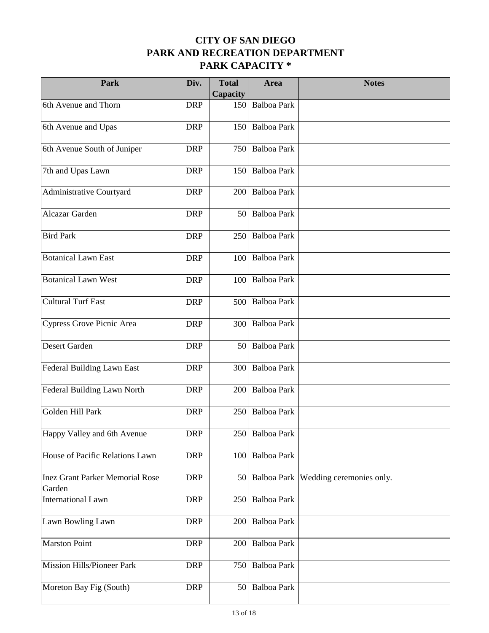| Park                                             | Div.       | <b>Total</b><br>Capacity | Area               | <b>Notes</b>                           |
|--------------------------------------------------|------------|--------------------------|--------------------|----------------------------------------|
| 6th Avenue and Thorn                             | <b>DRP</b> | 150                      | <b>Balboa Park</b> |                                        |
| 6th Avenue and Upas                              | <b>DRP</b> | 150                      | <b>Balboa Park</b> |                                        |
| 6th Avenue South of Juniper                      | <b>DRP</b> | 750                      | <b>Balboa Park</b> |                                        |
| 7th and Upas Lawn                                | <b>DRP</b> | 150                      | <b>Balboa Park</b> |                                        |
| Administrative Courtyard                         | <b>DRP</b> | 200                      | <b>Balboa Park</b> |                                        |
| Alcazar Garden                                   | <b>DRP</b> | 50                       | Balboa Park        |                                        |
| <b>Bird Park</b>                                 | <b>DRP</b> | 250                      | <b>Balboa Park</b> |                                        |
| <b>Botanical Lawn East</b>                       | <b>DRP</b> | 100                      | <b>Balboa Park</b> |                                        |
| <b>Botanical Lawn West</b>                       | <b>DRP</b> | 100                      | <b>Balboa Park</b> |                                        |
| <b>Cultural Turf East</b>                        | <b>DRP</b> | 500                      | <b>Balboa Park</b> |                                        |
| Cypress Grove Picnic Area                        | <b>DRP</b> | 300                      | <b>Balboa Park</b> |                                        |
| Desert Garden                                    | <b>DRP</b> | 50                       | <b>Balboa Park</b> |                                        |
| Federal Building Lawn East                       | <b>DRP</b> | 300                      | Balboa Park        |                                        |
| Federal Building Lawn North                      | <b>DRP</b> | 200                      | <b>Balboa Park</b> |                                        |
| Golden Hill Park                                 | <b>DRP</b> | 250                      | <b>Balboa Park</b> |                                        |
| Happy Valley and 6th Avenue                      | <b>DRP</b> |                          | 250 Balboa Park    |                                        |
| House of Pacific Relations Lawn                  | <b>DRP</b> | 100                      | <b>Balboa Park</b> |                                        |
| <b>Inez Grant Parker Memorial Rose</b><br>Garden | <b>DRP</b> | 50                       |                    | Balboa Park   Wedding ceremonies only. |
| <b>International Lawn</b>                        | <b>DRP</b> | 250                      | <b>Balboa Park</b> |                                        |
| Lawn Bowling Lawn                                | <b>DRP</b> | 200                      | Balboa Park        |                                        |
| <b>Marston Point</b>                             | <b>DRP</b> | 200                      | Balboa Park        |                                        |
| Mission Hills/Pioneer Park                       | <b>DRP</b> | 750                      | Balboa Park        |                                        |
| Moreton Bay Fig (South)                          | <b>DRP</b> | 50                       | Balboa Park        |                                        |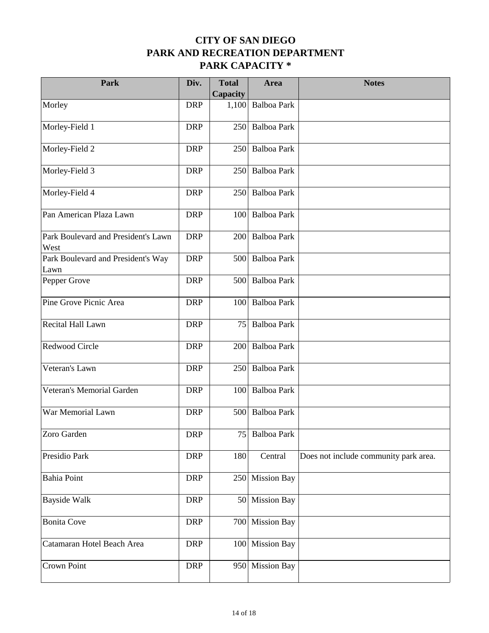| Park                                        | Div.       | <b>Total</b>    | Area               | <b>Notes</b>                          |
|---------------------------------------------|------------|-----------------|--------------------|---------------------------------------|
|                                             |            | Capacity        |                    |                                       |
| Morley                                      | <b>DRP</b> | 1,100           | <b>Balboa Park</b> |                                       |
| Morley-Field 1                              | <b>DRP</b> | 250             | <b>Balboa Park</b> |                                       |
| Morley-Field 2                              | <b>DRP</b> | 250             | <b>Balboa Park</b> |                                       |
| Morley-Field 3                              | <b>DRP</b> | 250             | <b>Balboa Park</b> |                                       |
| Morley-Field 4                              | <b>DRP</b> | 250             | <b>Balboa Park</b> |                                       |
| Pan American Plaza Lawn                     | <b>DRP</b> | 100             | <b>Balboa Park</b> |                                       |
| Park Boulevard and President's Lawn<br>West | <b>DRP</b> | 200             | <b>Balboa Park</b> |                                       |
| Park Boulevard and President's Way<br>Lawn  | <b>DRP</b> | 500             | <b>Balboa Park</b> |                                       |
| Pepper Grove                                | <b>DRP</b> | 500             | <b>Balboa Park</b> |                                       |
| Pine Grove Picnic Area                      | <b>DRP</b> | 100             | <b>Balboa Park</b> |                                       |
| Recital Hall Lawn                           | <b>DRP</b> | 75              | <b>Balboa Park</b> |                                       |
| Redwood Circle                              | <b>DRP</b> | 200             | <b>Balboa Park</b> |                                       |
| Veteran's Lawn                              | <b>DRP</b> | 250             | <b>Balboa Park</b> |                                       |
| Veteran's Memorial Garden                   | <b>DRP</b> | 100             | <b>Balboa Park</b> |                                       |
| War Memorial Lawn                           | <b>DRP</b> | 500             | <b>Balboa Park</b> |                                       |
| Zoro Garden                                 | <b>DRP</b> |                 | 75 Balboa Park     |                                       |
| Presidio Park                               | <b>DRP</b> | 180             | Central            | Does not include community park area. |
| <b>Bahia Point</b>                          | <b>DRP</b> | 250             | <b>Mission Bay</b> |                                       |
| <b>Bayside Walk</b>                         | <b>DRP</b> | 50 <sup>1</sup> | <b>Mission Bay</b> |                                       |
| <b>Bonita Cove</b>                          | <b>DRP</b> | 700             | <b>Mission Bay</b> |                                       |
| Catamaran Hotel Beach Area                  | <b>DRP</b> | 100             | <b>Mission Bay</b> |                                       |
| Crown Point                                 | <b>DRP</b> | 950             | <b>Mission Bay</b> |                                       |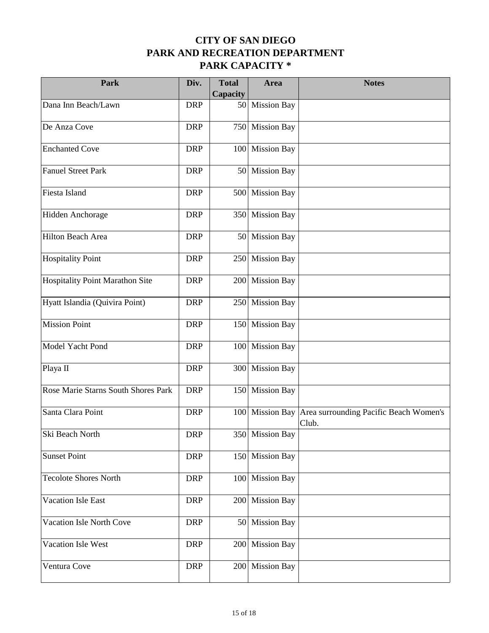| Park                                   | Div.       | <b>Total</b><br>Capacity | Area               | <b>Notes</b>                                                    |
|----------------------------------------|------------|--------------------------|--------------------|-----------------------------------------------------------------|
| Dana Inn Beach/Lawn                    | <b>DRP</b> | 50                       | <b>Mission Bay</b> |                                                                 |
| De Anza Cove                           | <b>DRP</b> | 750                      | <b>Mission Bay</b> |                                                                 |
| <b>Enchanted Cove</b>                  | <b>DRP</b> | 100                      | <b>Mission Bay</b> |                                                                 |
| <b>Fanuel Street Park</b>              | <b>DRP</b> | 50                       | <b>Mission Bay</b> |                                                                 |
| Fiesta Island                          | <b>DRP</b> | 500                      | <b>Mission Bay</b> |                                                                 |
| Hidden Anchorage                       | <b>DRP</b> | 350                      | <b>Mission Bay</b> |                                                                 |
| Hilton Beach Area                      | <b>DRP</b> |                          | 50 Mission Bay     |                                                                 |
| <b>Hospitality Point</b>               | <b>DRP</b> | 250                      | <b>Mission Bay</b> |                                                                 |
| <b>Hospitality Point Marathon Site</b> | <b>DRP</b> | 200                      | <b>Mission Bay</b> |                                                                 |
| Hyatt Islandia (Quivira Point)         | <b>DRP</b> | 250                      | <b>Mission Bay</b> |                                                                 |
| <b>Mission Point</b>                   | <b>DRP</b> | 150                      | <b>Mission Bay</b> |                                                                 |
| Model Yacht Pond                       | <b>DRP</b> | 100                      | <b>Mission Bay</b> |                                                                 |
| Playa II                               | <b>DRP</b> | 300                      | <b>Mission Bay</b> |                                                                 |
| Rose Marie Starns South Shores Park    | <b>DRP</b> | 150                      | <b>Mission Bay</b> |                                                                 |
| Santa Clara Point                      | <b>DRP</b> |                          |                    | 100 Mission Bay Area surrounding Pacific Beach Women's<br>Club. |
| Ski Beach North                        | <b>DRP</b> |                          | 350 Mission Bay    |                                                                 |
| <b>Sunset Point</b>                    | <b>DRP</b> | 150                      | <b>Mission Bay</b> |                                                                 |
| <b>Tecolote Shores North</b>           | <b>DRP</b> | 100                      | <b>Mission Bay</b> |                                                                 |
| Vacation Isle East                     | <b>DRP</b> | 200                      | <b>Mission Bay</b> |                                                                 |
| <b>Vacation Isle North Cove</b>        | <b>DRP</b> | 50 <sup>1</sup>          | <b>Mission Bay</b> |                                                                 |
| Vacation Isle West                     | <b>DRP</b> | 200                      | <b>Mission Bay</b> |                                                                 |
| Ventura Cove                           | <b>DRP</b> | 200                      | <b>Mission Bay</b> |                                                                 |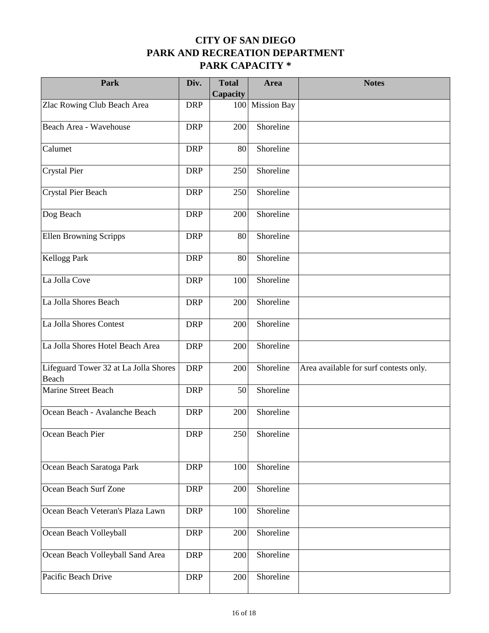| Park                                           | Div.       | <b>Total</b><br>Capacity | Area               | <b>Notes</b>                           |
|------------------------------------------------|------------|--------------------------|--------------------|----------------------------------------|
| Zlac Rowing Club Beach Area                    | <b>DRP</b> | 100                      | <b>Mission Bay</b> |                                        |
| Beach Area - Wavehouse                         | <b>DRP</b> | 200                      | Shoreline          |                                        |
| Calumet                                        | <b>DRP</b> | 80                       | Shoreline          |                                        |
| Crystal Pier                                   | <b>DRP</b> | 250                      | Shoreline          |                                        |
| Crystal Pier Beach                             | <b>DRP</b> | 250                      | Shoreline          |                                        |
| Dog Beach                                      | <b>DRP</b> | 200                      | Shoreline          |                                        |
| <b>Ellen Browning Scripps</b>                  | <b>DRP</b> | 80                       | Shoreline          |                                        |
| <b>Kellogg Park</b>                            | <b>DRP</b> | 80                       | Shoreline          |                                        |
| La Jolla Cove                                  | <b>DRP</b> | 100                      | Shoreline          |                                        |
| La Jolla Shores Beach                          | <b>DRP</b> | 200                      | Shoreline          |                                        |
| La Jolla Shores Contest                        | <b>DRP</b> | 200                      | Shoreline          |                                        |
| La Jolla Shores Hotel Beach Area               | <b>DRP</b> | 200                      | Shoreline          |                                        |
| Lifeguard Tower 32 at La Jolla Shores<br>Beach | <b>DRP</b> | 200                      | Shoreline          | Area available for surf contests only. |
| Marine Street Beach                            | <b>DRP</b> | 50                       | Shoreline          |                                        |
| Ocean Beach - Avalanche Beach                  | <b>DRP</b> | 200                      | Shoreline          |                                        |
| Ocean Beach Pier                               | <b>DRP</b> | 250                      | Shoreline          |                                        |
| Ocean Beach Saratoga Park                      | <b>DRP</b> | 100                      | Shoreline          |                                        |
| Ocean Beach Surf Zone                          | <b>DRP</b> | 200                      | Shoreline          |                                        |
| Ocean Beach Veteran's Plaza Lawn               | <b>DRP</b> | 100                      | Shoreline          |                                        |
| Ocean Beach Volleyball                         | <b>DRP</b> | 200                      | Shoreline          |                                        |
| Ocean Beach Volleyball Sand Area               | <b>DRP</b> | 200                      | Shoreline          |                                        |
| Pacific Beach Drive                            | <b>DRP</b> | 200                      | Shoreline          |                                        |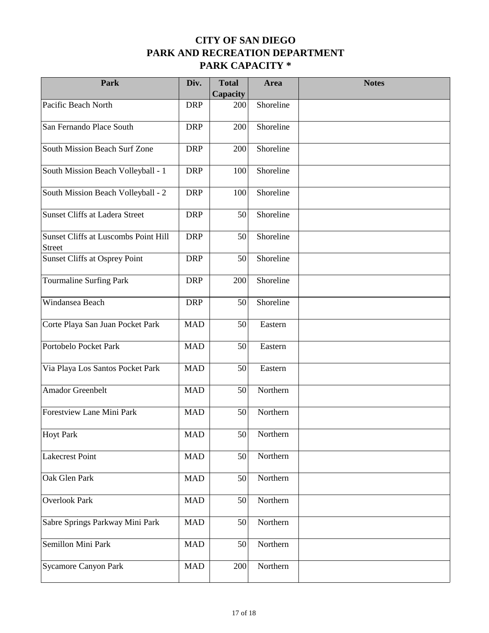| Park                                                  | Div.       | <b>Total</b><br>Capacity | Area      | <b>Notes</b> |
|-------------------------------------------------------|------------|--------------------------|-----------|--------------|
| Pacific Beach North                                   | <b>DRP</b> | 200                      | Shoreline |              |
| San Fernando Place South                              | <b>DRP</b> | 200                      | Shoreline |              |
| South Mission Beach Surf Zone                         | <b>DRP</b> | 200                      | Shoreline |              |
| South Mission Beach Volleyball - 1                    | <b>DRP</b> | 100                      | Shoreline |              |
| South Mission Beach Volleyball - 2                    | <b>DRP</b> | 100                      | Shoreline |              |
| Sunset Cliffs at Ladera Street                        | <b>DRP</b> | 50                       | Shoreline |              |
| Sunset Cliffs at Luscombs Point Hill<br><b>Street</b> | <b>DRP</b> | 50                       | Shoreline |              |
| <b>Sunset Cliffs at Osprey Point</b>                  | <b>DRP</b> | 50                       | Shoreline |              |
| Tourmaline Surfing Park                               | <b>DRP</b> | 200                      | Shoreline |              |
| Windansea Beach                                       | <b>DRP</b> | 50                       | Shoreline |              |
| Corte Playa San Juan Pocket Park                      | <b>MAD</b> | 50                       | Eastern   |              |
| Portobelo Pocket Park                                 | <b>MAD</b> | 50                       | Eastern   |              |
| Via Playa Los Santos Pocket Park                      | <b>MAD</b> | 50                       | Eastern   |              |
| <b>Amador Greenbelt</b>                               | <b>MAD</b> | 50                       | Northern  |              |
| Forestview Lane Mini Park                             | <b>MAD</b> | 50                       | Northern  |              |
| <b>Hoyt Park</b>                                      | <b>MAD</b> | 50                       | Northern  |              |
| Lakecrest Point                                       | <b>MAD</b> | 50                       | Northern  |              |
| Oak Glen Park                                         | <b>MAD</b> | 50                       | Northern  |              |
| Overlook Park                                         | <b>MAD</b> | 50                       | Northern  |              |
| Sabre Springs Parkway Mini Park                       | <b>MAD</b> | 50                       | Northern  |              |
| Semillon Mini Park                                    | <b>MAD</b> | 50                       | Northern  |              |
| Sycamore Canyon Park                                  | <b>MAD</b> | 200                      | Northern  |              |